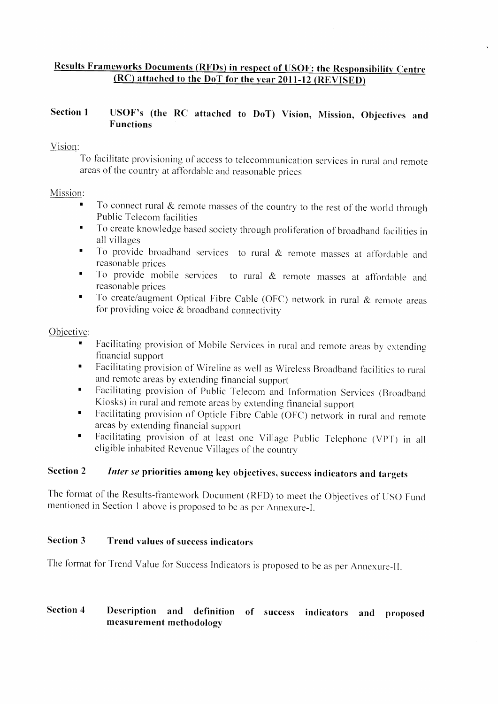# Results Frameworks Documents (RFDs) in respect of USOF: the Responsibility Centre  $(RC)$  attached to the DoT for the year  $2011-12$   $(REVISED)$

# Section 1 USOF's (the RC attached to DoT) Vision, Mission, Objectives and Functions

# Vision:

To facilitate provisioning of access to telecommunication services in rural and remote areas of the country at affordable and reasonable prices

# Mission:

- $\blacksquare$  To connect rural  $\&$  remote masses of the country to the rest of the world through Public Telecom facilities
- To create knowledge based society through proliferation of broadband facilities in  $\blacksquare$ all villages
- To provide broadband services to rural  $\&$  remote masses at affordable and  $\blacksquare$ reasonable prices
- To provide mobile services to rural  $&$  remote masses at affordable and reasonable prices
- To create/augment Optical Fibre Cable (OFC) network in rural  $&$  remote areas for providing voice  $&$  broadband connectivity  $\blacksquare$

# Objective:

- Facilitating provision of Mobile Services in rural and remote areas by cxtendipg financial support t
- Facilitating provision of Wireline as well as Wireless Broadband facilities to rural  $\blacksquare$ and remote areas by extending financial support
- Facilitating provision of Public Telecom and Information Services (Broadband  $\blacksquare$ Kiosks) in rural and remote areas by extending financial support
- Facilitating provision of Opticle Fibre Cable (OFC) network in rural and remote  $\blacksquare$ areas by extending financial support
- Facilitating provision of at least one Village Public Telephone (VPT) in all eligible inhabited Revenue Villages of the country

#### Inter se priorities among key objectives, success indicators and targets Section 2

The format of the Results-framework Document (RFD) to meet the Objectives of USO Fund mentioned in Section 1 above is proposed to be as per Annexure-I

#### Trend values of success indicators Section 3

The format for Trend Value for Success Indicators is proposed to be as per Annexure-II

# Section 4 Description and definition of success indicators and proposed measurement methodology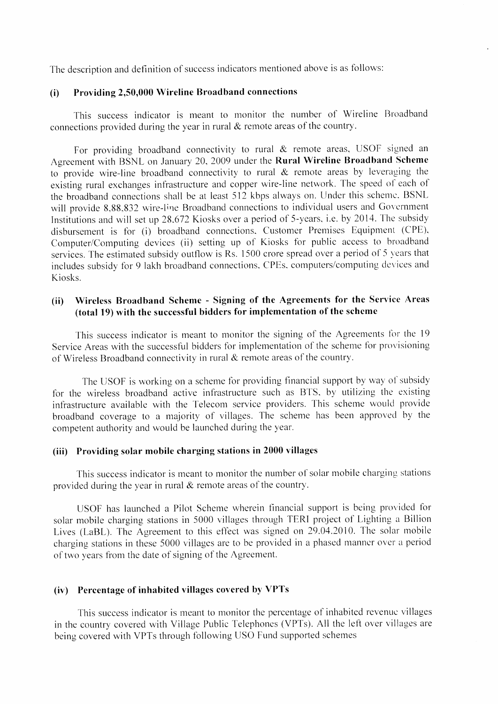The description and definition of success indicators mentioned above is as follows:

#### (i) Providing 2,50,000 Wireline Broadband connections

This success indicator is meant to monitor the number of Wireline Broadband connections provided during the year in rural  $\&$  remote areas of the country.

For providing broadband connectivity to rural  $&$  remote areas, USOF signed an Agreement with BSNL on January 20, 2009 under the Rural Wireline Broadband Scheme to provide wire-line broadband connectivity to rural  $\&$  remote areas by leveraging the existing rural exchanges infrastructure and copper wire-line network. The speed of each of the broadband connections shall be at least 512 kbps always on. Under this scheme, BSNL will provide 8,88,832 wire-line Broadband connections to individual users and Government Institutions and will set up 28.672 Kiosks over a period of 5-years, i.e. by 2014. The subsidy disbursement is for (i) broadband connections. Customer Premises Equipment (CPE), Computer/Computing devices (ii) setting up of Kiosks for public access to broadband services. The estimated subsidy outflow is Rs. 1500 crore spread over a period of 5 years that includes subsidy for 9 lakh broadband connections. CPEs. computers/computing devices and Kiosks.

# (ii) Wireless Broadband Scheme - Signing of the Agreements for the Service Areas (total 19) with the successful bidders for implementation of the schcme

This success indicator is meant to monitor the signing of the Agreements for the 19 Service Areas with the successful bidders for implementation of the scheme for provisioning of Wireless Broadband connectivity in rural & rernote areas of the country.

The USOF is working on a scheme for providing financial support by way of subsidy for the wireless broadband active infrastructure such as BTS, by utilizing the existing infrastructure available with the Telecom service providers. This scheme would provide broadband coverage to a majority of villages. The scheme has been approved by the competent authority and would be launched during the year.

#### (iii) Providing solar mobile charging stations in 2000 villages

This success indicator is meant to monitor the number of solar mobile charging stations provided during the year in rural  $&$  remote areas of the country.

USOF has launched a Pilot Scheme wherein financial support is being provided for solar mobile charging stations in 5000 villages through TERI project of Lighting a Billion Lives (LaBL). The Agreement to this effect was signed on 29.04.2010. The solar mobile charging stations in these 5000 villages are to be provided in a phased manner over a period of two years from the date of signing of the Agreement.

#### (ir) Percentage of inhabited villages covered by VPTs

This success indicator is meant to monitor the percentage of inhabited revenue villages in the country covered with Village Public Telephones (VPTs). All the left over villages are being covered with VPTs through following USO Fund supported schemes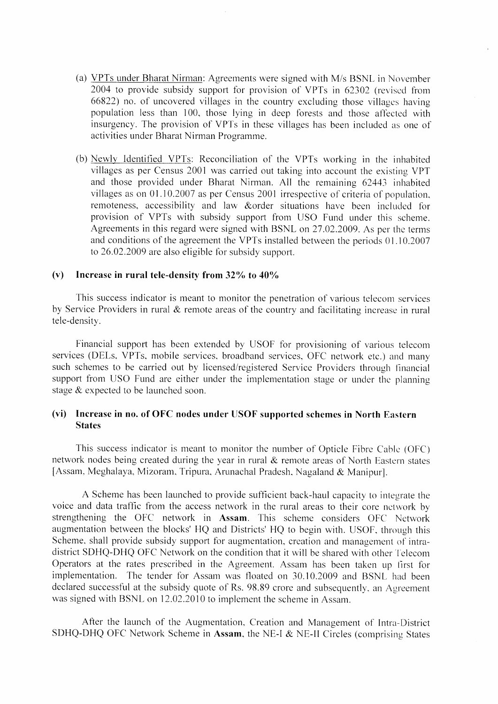- (a) VPTs under Bharat Nirman: Agreements were signed with M/s BSNL in November 2004 to provide subsidy support for provision of VPTs in 62302 (revised from 66822) no. of uncovered villages in the country excluding those villages having population-less than 100, those lying in deep forests and those affected with insurgency. The provision of VPTs in these villages has been included as one of activities under Bharat Nirman Programme.
- (b) Newly Identified VPTs: Reconciliation of the VPTs working in the inhabited villages as per Census 2001 was carried out taking into account the existing VPT and those provided under Bharat Nirman. All the remaining 62443 inhabited villages as on 01.10.2007 as per Census 2001 irrespective of criteria of population, remoteness, accessibility and law &order situations have been included for provision of VPTs with subsidy support from USO Fund under this scheme. Agreements in this regard were signed with BSNL on 27.02.2009. As per the terms and conditions of the agreement the VPTs installed between the periods 01.10.2007 to 26.02.2009 are also eligible for subsidy support.

#### (v) Increase in rural tele-density from  $32\%$  to  $40\%$

This success indicator is meant to monitor the penetration of various telecom services by Service Providers in rural  $\&$  remote areas of the country and facilitating increase in rural tele-density.

Financial support has been extended by USOF for provisioning of various telecomservices (DELs, VPTs, mobile services, broadband services, OFC network etc.) and many such schemes to be carried out by licensed/registered Service Providers through financial support from USO Fund are either under the implementation stage or under the planning stage  $&$  expected to be launched soon.

### (vi) Increase in no. of OFC nodes under USOF supported schemes in North Eastern States

This success indicator is meant to monitor the number of Opticle Fibre Cable (OFC) network nodes being created during the year in rural  $\&$  remote areas of North-Eastern states [Assam, Meghalaya, Mizoram, Tripura, Arunachal Pradesh, Nagaland & Manipur].

A Scheme has been launched to provide sufficient back-haul capacity to integrate the voice and data traffic from the access network in the rural areas to their core network by strengthening the OFC network in Assam. This scheme considers OFC Network augmentation between the blocks' HQ and Districts' HQ to begin with. USOF, through this Scheme, shall provide subsidy support for augmentation, creation and management of intradistrict SDHQ-DHQ OFC Network on the condition that it will be shared with other'l'elecom Operators at the rates prescribed in the Agreement. Assam has been taken up first for implementation. The tender for Assam was floated on 30.10.2009 and BSNL had been declared successful at the subsidy quote of Rs. 98.89 crore and subsequently. an Agreement was signed with BSNL on 12.02.2010 to implement the scheme in Assam.

After the launch of the Augmentation. Creation and Management of Intra-District SDHQ-DHQ OFC Network Scheme in Assam, the NE-I  $&$  NE-II Circles (comprising States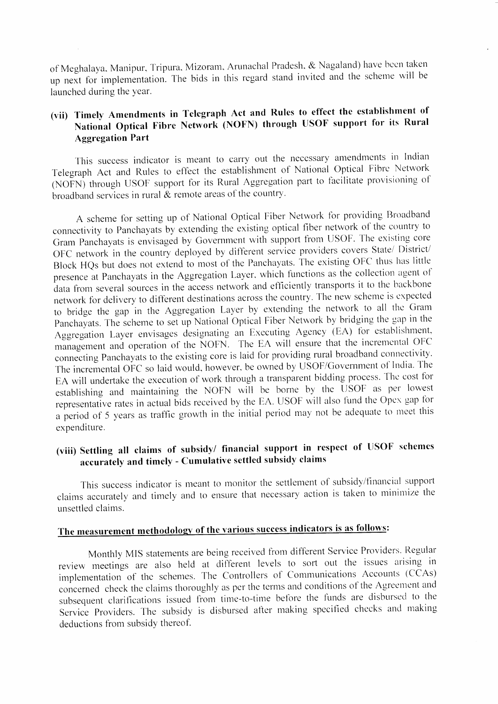of Meghalaya, Manipur, Tripura, Mizoram, Arunachal Pradesh, & Nagaland) have been taken up next for implementation. The bids in this regard stand invited and the scheme will be launched during the year.

# (vii) Timely Amendments in Telegraph Act and Rules to effect the establishment of National Optical Fibre Network (NOFN) through USOF support for its Rural **Aggregation Part**

This success indicator is meant to carry out the necessary amendments in Indian Telegraph Act and Rules to effect the establishment of National Optical Fibre Network (NOFN) through USOF support for its Rural Aggregation part to facilitate provisioning of broadband services in rural  $\alpha$  remote areas of the country.

A scheme for setting up of National Optical Fiber Network for providing Broadband connectivity to Panchayats by extending the existing optical fiber network of the country to Gram Panchayats is envisaged by Government with support from USOF. The existing core OFC network in the country deployed by different service providers covers State/ District/ Block HQs but does not extend to most of the Panchayats. The existing OFC thus has little presence at Panchayats in the Aggregation Layer, which functions as the collection agent of data from several sources in the access network and efficiently transports it to the backbone network for delivery to different destinations across the country. The new scheme is expected to bridge the gap in the Aggregation Layer by extending the network to all the Gram Panchayats. The scheme to set up National Optical Fiber Network by bridging the gap in the Aggregation Layer envisages designating an Executing Agency (EA) for establishment, management and operation of the NOFN. The EA will ensure that the incremental OFC connecting Panchayats to the existing core is laid for providing rural broadband connectivity. The incremental OFC so laid would, however, be owned by USOF/Government of India. The EA will undertake the execution of work through a transparent bidding process. The cost for establishing and maintaining the NOFN will be borne by the USOF as per lowest representative rates in actual bids received by the EA. USOF will also fund the Opex gap for a period of 5 years as traffic growth in the initial period may not be adequate to meet this expenditure.

# (viii) Settling all claims of subsidy/ financial support in respect of USOF schemes accurately and timely - Cumulative settled subsidy claims

This success indicator is meant to monitor the settlement of subsidy/financial support claims accurately and timely and to ensure that necessary action is taken to minimize the unsettled claims.

# The measurement methodology of the various success indicators is as follows:

Monthly MIS statements are being received from different Service Providers. Regular review meetings are also held at different levels to sort out the issues arising in implementation of the schemes. The Controllers of Communications Accounts (CCAs) concerned check the claims thoroughly as per the terms and conditions of the Agreement and subsequent clarifications issued from time-to-time before the funds are disbursed to the Service Providers. The subsidy is disbursed after making specified checks and making deductions from subsidy thereof.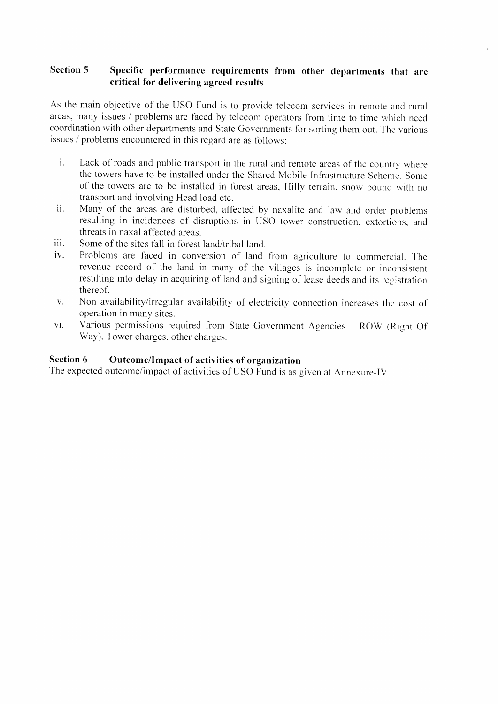# Section 5 Specific performance requirements from other departments that are critical for delivering agreed results

As the main objective of the USO Fund is to provide telecom services in remote and rural areas, many issues / problems are faced by telecom operators from time to time which need coordination with other departments and State Governments for sorting them out. The various issues / problems encountered in this regard are as follows:

- i. Lack of roads and public transport in the rural and remote areas of the country where the towers have to be installed under the Shared Mobile Infrastructure Scheme. Some of the towers are to be installed in forest areas. Hilly terrain, snow bound with no transport and involving Head load etc.
- ii. Many of the areas are disturbed, affected by naxalite and law and order problems resulting in incidences of disruptions in USO tower construction, extortions, and threats in naxal affected areas.
- iii. Some of the sites fall in forest land/tribal land.
- iv. Problems are faced in conversion of land from agriculture to commercial. The revenue record of the land in many of the villages is incomplete or inconsistent resulting into delay in acquiring of land and signing of lease deeds and its registration thereof-.
- v. Non availability/irregular availability of electricity connection increases the cost of operation in many sites.
- vi. Various permissions required from State Government Agencies ROW (Right Of Way). Tower charges. other charges.

# Section 6 Outcome/Impact of activities of organization

The expected outcome/impact of activities of USO Fund is as given at Annexure-IV.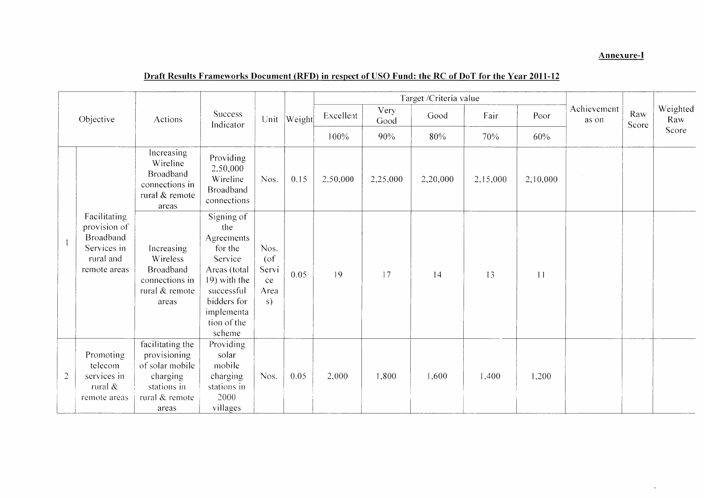## **Annexure-I**

 $\downarrow$ 

# Draft Results Frameworks Document (RFD) in respect of USO Fund: the RC of DoT for the Year 2011-12

|  |                                                                                                                                                             |                                                                                                           |                                                                                                                                                           |                                             |        |           |              | Target /Criteria value |          |                 |                      |              |                 |
|--|-------------------------------------------------------------------------------------------------------------------------------------------------------------|-----------------------------------------------------------------------------------------------------------|-----------------------------------------------------------------------------------------------------------------------------------------------------------|---------------------------------------------|--------|-----------|--------------|------------------------|----------|-----------------|----------------------|--------------|-----------------|
|  | Objective<br>Facilitating<br>provision of<br>Broadband<br>Services in<br>rural and<br>remote areas<br>Promoting<br>telecom<br>$\overline{2}$<br>services in | Actions                                                                                                   | Success<br>Indicator                                                                                                                                      | Unit                                        | Weight | Excellent | Very<br>Good | Good                   | Fair     | Poor            | Achievement<br>as on | Raw<br>Score | Weighted<br>Raw |
|  |                                                                                                                                                             |                                                                                                           |                                                                                                                                                           |                                             |        | 100%      | 90%          | 80%                    | 70%      | 60%             |                      |              | Score           |
|  |                                                                                                                                                             | Increasing<br>Wireline<br>Broadband<br>connections in<br>rural & remote<br>areas                          | Providing<br>2,50,000<br>Wireline<br><b>Broadband</b><br>connections                                                                                      | Nos.                                        | 0.15   | 2,50,000  | 2,25,000     | 2,20,000               | 2,15,000 | 2,10,000        |                      |              |                 |
|  |                                                                                                                                                             | Increasing<br>Wireless<br><b>Broadband</b><br>connections in<br>rural & remote<br>areas                   | Signing of<br>the<br>Agreements<br>for the<br>Service<br>Areas (total<br>19) with the<br>successful<br>bidders for<br>implementa<br>tion of the<br>scheme | Nos.<br>$($ of<br>Servi<br>ce<br>Area<br>s) | 0.05   | 19        | 17           | 14                     | 13       | $\vert$ $\vert$ |                      |              |                 |
|  | rural &<br>remote areas                                                                                                                                     | facilitating the<br>provisioning<br>of solar mobile<br>charging<br>stations in<br>rural & remote<br>areas | Providing<br>solar<br>mobile<br>charging<br>stations in<br>2000<br>villages                                                                               | Nos.                                        | 0.05   | 2,000     | 1,800        | 1,600                  | 1,400    | 1,200           |                      |              |                 |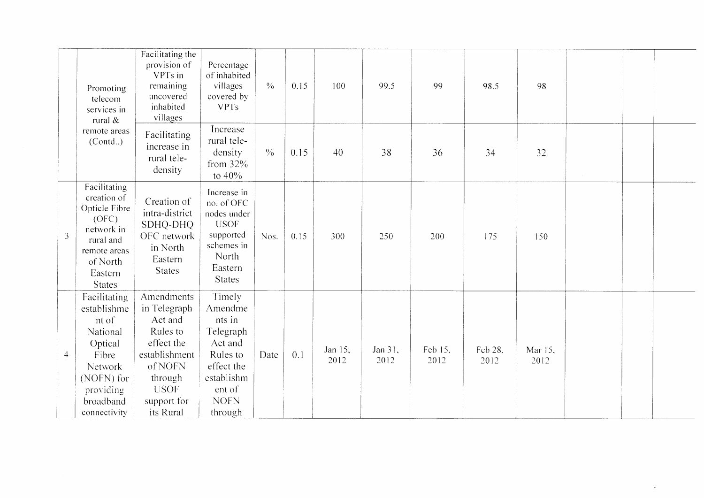|                | Promoting<br>telecom<br>services in<br>rural &                                                                                                 | Facilitating the<br>provision of<br>VPTs in<br>remaining<br>uncovered<br>inhabited<br>villages                                                    | Percentage<br>of inhabited<br>villages<br>covered by<br><b>VPTs</b>                                                             | $\frac{0}{0}$ | 0.15 | 100             | 99.5            | 99              | 98.5            | 98              |  |  |
|----------------|------------------------------------------------------------------------------------------------------------------------------------------------|---------------------------------------------------------------------------------------------------------------------------------------------------|---------------------------------------------------------------------------------------------------------------------------------|---------------|------|-----------------|-----------------|-----------------|-----------------|-----------------|--|--|
|                | remote areas<br>(Cond.)                                                                                                                        | Facilitating<br>increase in<br>rural tele-<br>density                                                                                             | Increase<br>rural tele-<br>density<br>from $32\%$<br>to 40%                                                                     | $\frac{0}{6}$ | 0.15 | 40              | 38              | 36              | 34              | 32              |  |  |
| $\overline{3}$ | Facilitating<br>creation of<br>Opticle Fibre<br>(OFC)<br>network in<br>rural and<br>remote areas<br>of North<br>Eastern<br><b>States</b>       | Creation of<br>intra-district<br>SDHQ-DHQ<br>OFC network<br>in North<br>Eastern<br><b>States</b>                                                  | Increase in<br>no. of OFC<br>nodes under<br><b>USOF</b><br>supported<br>schemes in<br><b>North</b><br>Eastern<br><b>States</b>  | Nos.          | 0.15 | 300             | 250             | 200             | 175             | 150             |  |  |
| $\overline{4}$ | Facilitating<br>establishme<br>nt of<br>National<br>Optical<br>Fibre<br><b>Network</b><br>(NOFN) for<br>providing<br>broadband<br>connectivity | Amendments<br>in Telegraph<br>Act and<br>Rules to<br>effect the<br>establishment<br>of NOFN<br>through<br><b>USOF</b><br>support for<br>its Rural | Timely<br>Amendme<br>nts in<br>Telegraph<br>Act and<br>Rules to<br>effect the<br>establishm<br>ent of<br><b>NOFN</b><br>through | Date          | 0.1  | Jan 15,<br>2012 | Jan 31,<br>2012 | Feb 15,<br>2012 | Feb 28,<br>2012 | Mar 15,<br>2012 |  |  |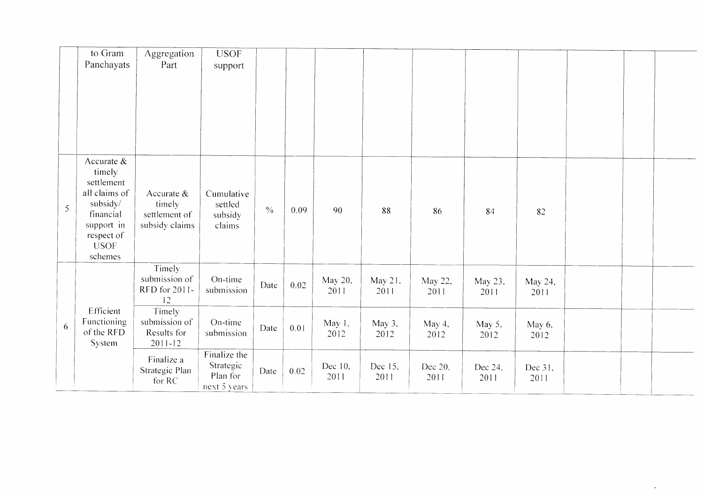|                | to Gram<br>Panchayats                                                                                                                 | Aggregation<br>Part                                       | <b>USOF</b><br>support                                |               |      |                 |                 |                 |                 |                 |  |  |
|----------------|---------------------------------------------------------------------------------------------------------------------------------------|-----------------------------------------------------------|-------------------------------------------------------|---------------|------|-----------------|-----------------|-----------------|-----------------|-----------------|--|--|
|                |                                                                                                                                       |                                                           |                                                       |               |      |                 |                 |                 |                 |                 |  |  |
| $\mathfrak{S}$ | Accurate $\&$<br>timely<br>settlement<br>all claims of<br>subsidy/<br>financial<br>support in<br>respect of<br><b>USOF</b><br>schemes | Accurate $&$<br>timely<br>settlement of<br>subsidy claims | Cumulative<br>settled<br>subsidy<br>claims            | $\frac{0}{0}$ | 0.09 | 90              | 88              | 86              | 84              | 82              |  |  |
|                |                                                                                                                                       | Timely<br>submission of<br>RFD for 2011-<br>12            | On-time<br>submission                                 | Date          | 0.02 | May 20,<br>2011 | May 21,<br>2011 | May 22,<br>2011 | May 23,<br>2011 | May 24,<br>2011 |  |  |
| 6              | Efficient<br>Functioning<br>of the RFD<br>System                                                                                      | Timely<br>submission of<br>Results for<br>$2011 - 12$     | On-time<br>submission                                 | Date          | 0.01 | May 1,<br>2012  | May 3,<br>2012  | May 4.<br>2012  | May 5,<br>2012  | May 6,<br>2012  |  |  |
|                |                                                                                                                                       | Finalize a<br>Strategic Plan<br>for RC                    | Finalize the<br>Strategic<br>Plan for<br>next 5 years | Date          | 0.02 | Dec 10,<br>2011 | Dec 15,<br>2011 | Dec 20,<br>2011 | Dec 24,<br>2011 | Dec 31,<br>2011 |  |  |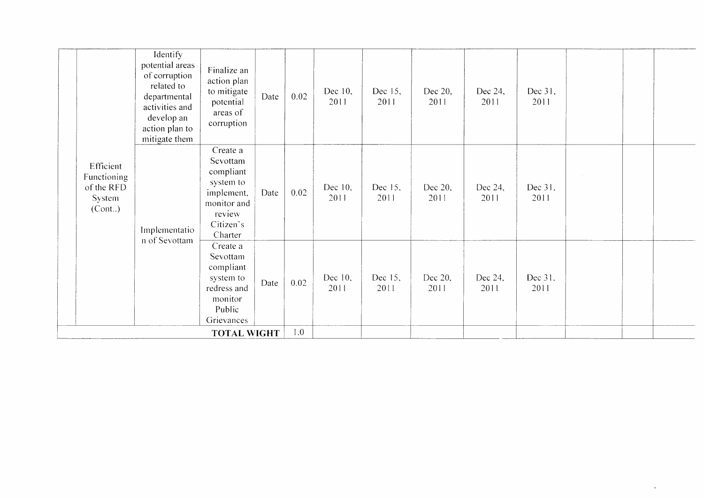|                                                             | Identify<br>potential areas<br>of corruption<br>related to<br>departmental<br>activities and<br>develop an<br>action plan to<br>mitigate them | Finalize an<br>action plan<br>to mitigate<br>potential<br>areas of<br>corruption                              | Date | 0.02    | Dec 10,<br>2011 | Dec 15,<br>2011 | Dec 20,<br>2011 | Dec 24,<br>2011 | Dec 31,<br>2011 |  |  |
|-------------------------------------------------------------|-----------------------------------------------------------------------------------------------------------------------------------------------|---------------------------------------------------------------------------------------------------------------|------|---------|-----------------|-----------------|-----------------|-----------------|-----------------|--|--|
| Efficient<br>Functioning<br>of the RFD<br>System<br>(Cont.) | Implementatio                                                                                                                                 | Create a<br>Sevottam<br>compliant<br>system to<br>implement,<br>monitor and<br>review<br>Citizen's<br>Charter | Date | 0.02    | Dec 10,<br>2011 | Dec 15,<br>2011 | Dec 20,<br>2011 | Dec 24,<br>2011 | Dec 31,<br>2011 |  |  |
|                                                             | n of Sevottam                                                                                                                                 | Create a<br>Sevottam<br>compliant<br>system to<br>redress and<br>monitor<br>Public<br>Grievances              | Date | 0.02    | Dec 10,<br>2011 | Dec 15,<br>2011 | Dec 20,<br>2011 | Dec 24,<br>2011 | Dec 31,<br>2011 |  |  |
|                                                             |                                                                                                                                               | <b>TOTAL WIGHT</b>                                                                                            |      | $1.0\,$ |                 |                 |                 |                 |                 |  |  |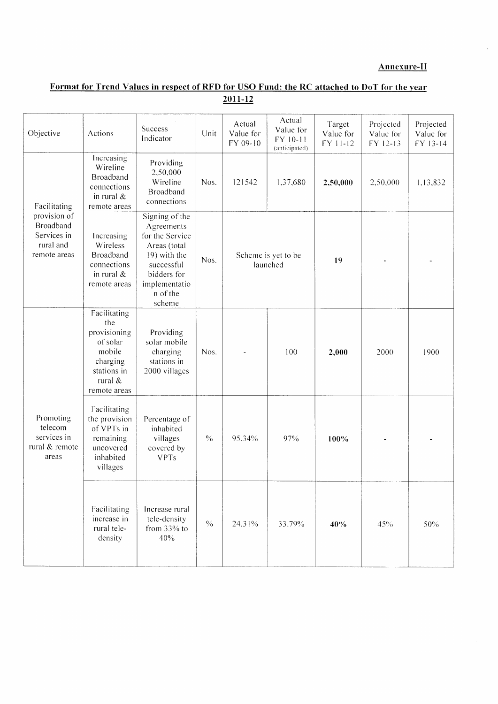### **Annexure-II**

 $\bar{a}$ 

# Format for Trend Values in respect of RFD for USO Fund: the RC attached to DoT for the year  $2011-12$

| Objective                                                                    | Actions                                                                                                         | Success<br>Indicator                                                                                                                                | Unit                     | Actual<br>Value for<br>FY 09-10 | Actual<br>Value for<br>FY 10-11<br>(anticipated) | Target<br>Value for<br>FY 11-12 | Projected<br>Value for<br>FY 12-13 | Projected<br>Value for<br>FY 13-14 |
|------------------------------------------------------------------------------|-----------------------------------------------------------------------------------------------------------------|-----------------------------------------------------------------------------------------------------------------------------------------------------|--------------------------|---------------------------------|--------------------------------------------------|---------------------------------|------------------------------------|------------------------------------|
| Facilitating                                                                 | Increasing<br>Wireline<br><b>Broadband</b><br>connections<br>in rural $\&$<br>remote areas                      | Providing<br>2,50,000<br>Wireline<br>Broadband<br>connections                                                                                       | Nos.                     | 121542                          | 1,37,680                                         | 2,50,000                        | 2,50,000                           | 1,13,832                           |
| provision of<br><b>Broadband</b><br>Services in<br>rural and<br>remote areas | Increasing<br>Wireless<br>Broadband<br>connections<br>in rural $&$<br>remote areas                              | Signing of the<br>Agreements<br>for the Service<br>Areas (total<br>19) with the<br>successful<br>bidders for<br>implementatio<br>n of the<br>scheme | Nos.                     |                                 | Scheme is yet to be<br>launched                  | 19                              |                                    |                                    |
|                                                                              | Facilitating<br>the<br>provisioning<br>of solar<br>mobile<br>charging<br>stations in<br>rural &<br>remote areas | Providing<br>solar mobile<br>charging<br>stations in<br>2000 villages                                                                               | Nos.                     |                                 | 100                                              | 2,000                           | 2000                               | 1900                               |
| Promoting<br>telecom<br>services in<br>rural & remote<br>areas               | Facilitating<br>the provision<br>of VPTs in<br>remaining<br>uncovered<br>inhabited<br>villages                  | Percentage of<br>inhabited<br>villages<br>covered by<br><b>VPTs</b>                                                                                 | $\sqrt[0]{\mathstrut_0}$ | 95.34%                          | 97%                                              | 100%                            |                                    |                                    |
|                                                                              | Facilitating<br>increase in<br>rural tele-<br>density                                                           | Increase rural<br>tele-density<br>from 33% to<br>40%                                                                                                | $\frac{0}{0}$            | 24.31%                          | 33.79%                                           | 40%                             | 45%                                | 50%                                |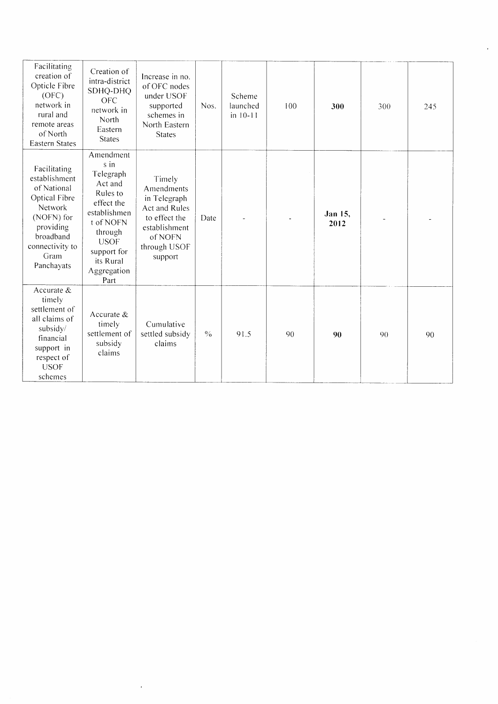| Facilitating<br>creation of<br>Opticle Fibre<br>(OFC)<br>network in<br>rural and<br>remote areas<br>of North<br><b>Eastern States</b>                            | Creation of<br>intra-district<br>SDHQ-DHQ<br><b>OFC</b><br>network in<br>North<br>Eastern<br><b>States</b>                                                                    | Increase in no.<br>of OFC nodes<br>under USOF<br>supported<br>schemes in<br>North Eastern<br><b>States</b>                           | Nos.          | Scheme<br>launched<br>$in 10-11$ | 100 | 300             | 300 | 245 |
|------------------------------------------------------------------------------------------------------------------------------------------------------------------|-------------------------------------------------------------------------------------------------------------------------------------------------------------------------------|--------------------------------------------------------------------------------------------------------------------------------------|---------------|----------------------------------|-----|-----------------|-----|-----|
| Facilitating<br>establishment<br>of National<br>Optical Fibre<br><b>Network</b><br>(NOFN) for<br>providing<br>broadband<br>connectivity to<br>Gram<br>Panchayats | Amendment<br>s in<br>Telegraph<br>Act and<br>Rules to<br>effect the<br>establishmen<br>t of NOFN<br>through<br><b>USOF</b><br>support for<br>its Rural<br>Aggregation<br>Part | Timely<br>Amendments<br>in Telegraph<br><b>Act and Rules</b><br>to effect the<br>establishment<br>of NOFN<br>through USOF<br>support | Date          |                                  |     | Jan 15.<br>2012 |     |     |
| Accurate $&$<br>timely<br>settlement of<br>all claims of<br>subsidy/<br>financial<br>support in<br>respect of<br><b>USOF</b><br>schemes                          | Accurate $\&$<br>timely<br>settlement of<br>subsidy<br>claims                                                                                                                 | Cumulative<br>settled subsidy<br>claims                                                                                              | $\frac{0}{0}$ | 91.5                             | 90  | 90              | 90  | 90  |

 $\sim 60\%$ 

 $\mathbf{a}^{(i)}$  .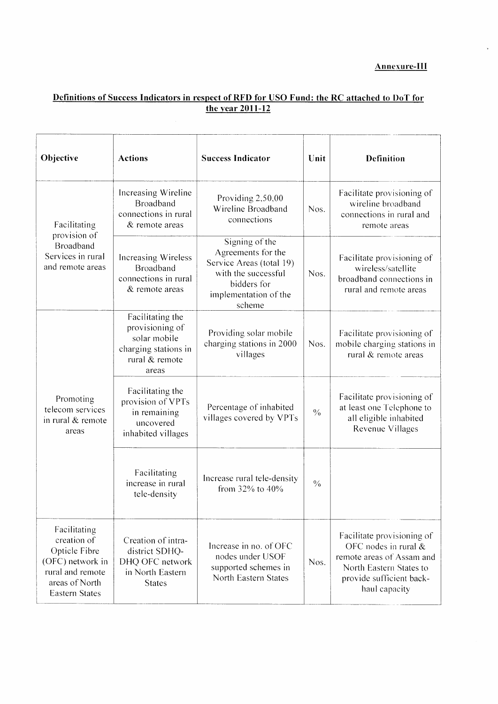$\ddot{\phantom{a}}$ 

# <u>Definitions of Success Indicators in respect of RFD for USO Fund: the RC attached to DoT for<br>the year 2011-12</u>

| Objective                                                                                                                       | <b>Actions</b>                                                                                         | <b>Success Indicator</b>                                                                                                                  | Unit          | <b>Definition</b>                                                                                                                                         |
|---------------------------------------------------------------------------------------------------------------------------------|--------------------------------------------------------------------------------------------------------|-------------------------------------------------------------------------------------------------------------------------------------------|---------------|-----------------------------------------------------------------------------------------------------------------------------------------------------------|
| Facilitating                                                                                                                    | Increasing Wireline<br>Broadband<br>connections in rural<br>& remote areas                             | Providing 2,50,00<br>Wireline Broadband<br>connections                                                                                    | Nos.          | Facilitate provisioning of<br>wireline broadband<br>connections in rural and<br>remote areas                                                              |
| provision of<br>Broadband<br>Services in rural<br>and remote areas                                                              | <b>Increasing Wireless</b><br>Broadband<br>connections in rural<br>& remote areas                      | Signing of the<br>Agreements for the<br>Service Areas (total 19)<br>with the successful<br>bidders for<br>implementation of the<br>scheme | Nos.          | Facilitate provisioning of<br>wireless/satellite<br>broadband connections in<br>rural and remote areas                                                    |
|                                                                                                                                 | Facilitating the<br>provisioning of<br>solar mobile<br>charging stations in<br>rural & remote<br>areas | Providing solar mobile<br>charging stations in 2000<br>villages                                                                           | Nos.          | Facilitate provisioning of<br>mobile charging stations in<br>rural & remote areas                                                                         |
| Promoting<br>telecom services<br>in rural & remote<br>areas                                                                     | Facilitating the<br>provision of VPTs<br>in remaining<br>uncovered<br>inhabited villages               | Percentage of inhabited<br>villages covered by VPTs                                                                                       | $\frac{0}{6}$ | Facilitate provisioning of<br>at least one Telephone to<br>all eligible inhabited<br>Revenue Villages                                                     |
|                                                                                                                                 | Facilitating<br>increase in rural<br>tele-density                                                      | Increase rural tele-density<br>from 32% to 40%                                                                                            | $\frac{0}{0}$ |                                                                                                                                                           |
| Facilitating<br>creation of<br>Opticle Fibre<br>(OFC) network in<br>rural and remote<br>areas of North<br><b>Eastern States</b> | Creation of intra-<br>district SDHQ-<br>DHQ OFC network<br>in North Eastern<br><b>States</b>           | Increase in no. of OFC<br>nodes under USOF<br>supported schemes in<br>North Eastern States                                                | Nos.          | Facilitate provisioning of<br>OFC nodes in rural $&$<br>remote areas of Assam and<br>North Eastern States to<br>provide sufficient back-<br>haul capacity |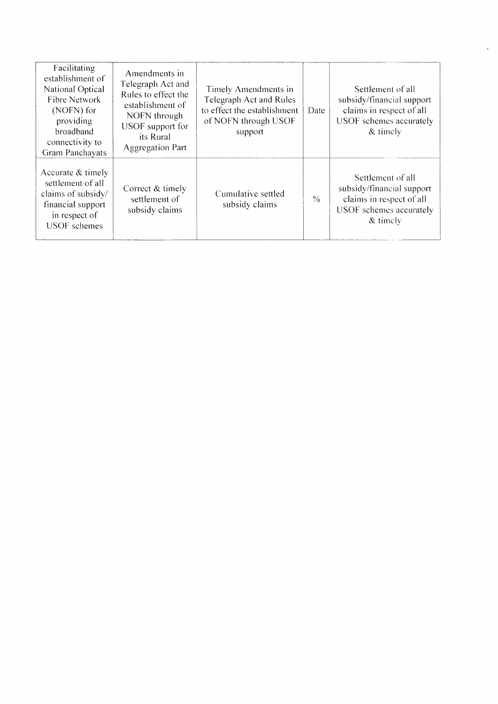| Facilitating<br>establishment of<br>National Optical<br>Fibre Network<br>(NOFN) for<br>providing<br>broadband<br>connectivity to<br>Gram Panchayats | Amendments in<br>Telegraph Act and<br>Rules to effect the<br>establishment of<br>NOFN through<br>USOF support for<br>its Rural<br><b>Aggregation Part</b> | Timely Amendments in<br>Telegraph Act and Rules<br>to effect the establishment<br>of NOFN through USOF<br>support | Date          | Settlement of all<br>subsidy/financial support<br>claims in respect of all<br>USOF schemes accurately<br>$&$ timely |
|-----------------------------------------------------------------------------------------------------------------------------------------------------|-----------------------------------------------------------------------------------------------------------------------------------------------------------|-------------------------------------------------------------------------------------------------------------------|---------------|---------------------------------------------------------------------------------------------------------------------|
| Accurate $&$ timely<br>settlement of all<br>claims of subsidy/<br>financial support<br>in respect of<br><b>USOF</b> schemes                         | Correct & timely<br>settlement of<br>subsidy claims                                                                                                       | Cumulative settled<br>subsidy claims                                                                              | $\frac{0}{0}$ | Settlement of all<br>subsidy/financial support<br>claims in respect of all<br>USOF schemes accurately<br>$&$ timely |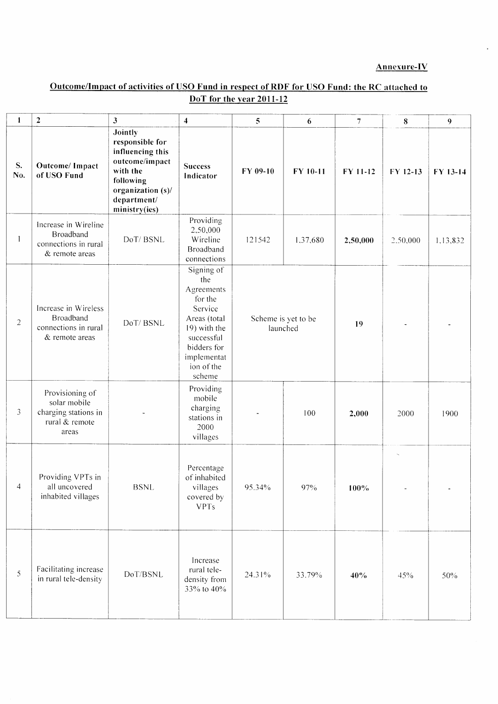### **Annexure-IV**

 $\ddot{\phantom{a}}$ 

# Outcome/Impact of activities of USO Fund in respect of RDF for USO Fund: the RC attached to DoT for the year 2011-12

| $\mathbf{I}$   | $\mathbf 2$                                                                        | 3                                                                                                                                                     | $\overline{\mathbf{4}}$                                                                                                                                   | 5        | 6                   | $7\phantom{.0}$ | 8        | 9        |
|----------------|------------------------------------------------------------------------------------|-------------------------------------------------------------------------------------------------------------------------------------------------------|-----------------------------------------------------------------------------------------------------------------------------------------------------------|----------|---------------------|-----------------|----------|----------|
| S.<br>No.      | Outcome/ Impact<br>of USO Fund                                                     | <b>Jointly</b><br>responsible for<br>influencing this<br>outcome/impact<br>with the<br>following<br>organization (s)/<br>department/<br>ministry(ies) | <b>Success</b><br>Indicator                                                                                                                               | FY 09-10 | FY 10-11            | FY 11-12        | FY 12-13 | FY 13-14 |
|                | Increase in Wireline<br>Broadband<br>connections in rural<br>& remote areas        | DoT/BSNL                                                                                                                                              | Providing<br>2,50,000<br>Wireline<br>Broadband<br>connections                                                                                             | 121542   | 1,37,680            | 2,50,000        | 2,50,000 | 1,13,832 |
| $\overline{2}$ | Increase in Wireless<br>Broadband<br>connections in rural<br>& remote areas        | DoT/BSNL                                                                                                                                              | Signing of<br>the<br>Agreements<br>for the<br>Service<br>Areas (total<br>19) with the<br>successful<br>bidders for<br>implementat<br>ion of the<br>scheme | launched | Scheme is yet to be | 19              |          |          |
| 3              | Provisioning of<br>solar mobile<br>charging stations in<br>rural & remote<br>areas |                                                                                                                                                       | Providing<br>mobile<br>charging<br>stations in<br>2000<br>villages                                                                                        |          | 100                 | 2,000           | 2000     | 1900     |
| 4              | Providing VPTs in<br>all uncovered<br>inhabited villages                           | <b>BSNL</b>                                                                                                                                           | Percentage<br>of inhabited<br>villages<br>covered by<br><b>VPTs</b>                                                                                       | 95.34%   | $97\%$              | 100%            |          |          |
| $\mathfrak{S}$ | Facilitating increase<br>in rural tele-density                                     | DoT/BSNL                                                                                                                                              | Increase<br>rural tele-<br>density from<br>33% to 40%                                                                                                     | 24.31%   | 33.79%              | 40%             | 45%      | 50%      |